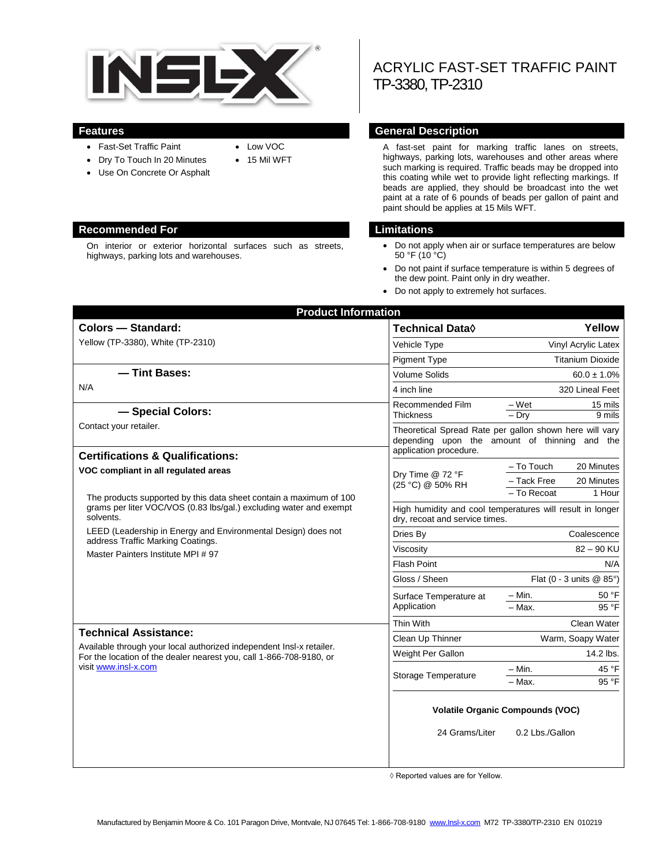

- Fast-Set Traffic Paint
- Dry To Touch In 20 Minutes
- Use On Concrete Or Asphalt

#### **Recommended For Limitations**

On interior or exterior horizontal surfaces such as streets, highways, parking lots and warehouses.

 Low VOC 15 Mil WFT

# ACRYLIC FAST-SET TRAFFIC PAINT TP-3380, TP-2310

#### **Features General Description**

A fast-set paint for marking traffic lanes on streets, highways, parking lots, warehouses and other areas where such marking is required. Traffic beads may be dropped into this coating while wet to provide light reflecting markings. If beads are applied, they should be broadcast into the wet paint at a rate of 6 pounds of beads per gallon of paint and paint should be applies at 15 Mils WFT.

- Do not apply when air or surface temperatures are below 50 °F (10 °C)
- Do not paint if surface temperature is within 5 degrees of the dew point. Paint only in dry weather.
- Do not apply to extremely hot surfaces.

| <b>Product Information</b>                                                                                                                                                                                                                                                                                                                |                                                                                             |                                                                                |  |
|-------------------------------------------------------------------------------------------------------------------------------------------------------------------------------------------------------------------------------------------------------------------------------------------------------------------------------------------|---------------------------------------------------------------------------------------------|--------------------------------------------------------------------------------|--|
| <b>Colors - Standard:</b>                                                                                                                                                                                                                                                                                                                 | Technical Data $\Diamond$                                                                   | Yellow                                                                         |  |
| Yellow (TP-3380), White (TP-2310)                                                                                                                                                                                                                                                                                                         | Vehicle Type                                                                                | Vinyl Acrylic Latex                                                            |  |
|                                                                                                                                                                                                                                                                                                                                           | <b>Pigment Type</b>                                                                         | <b>Titanium Dioxide</b>                                                        |  |
| -Tint Bases:                                                                                                                                                                                                                                                                                                                              | <b>Volume Solids</b>                                                                        | $60.0 \pm 1.0\%$                                                               |  |
| N/A                                                                                                                                                                                                                                                                                                                                       | 4 inch line                                                                                 | 320 Lineal Feet                                                                |  |
| - Special Colors:                                                                                                                                                                                                                                                                                                                         | Recommended Film<br><b>Thickness</b>                                                        | $-Wet$<br>15 mils<br>$-$ Dry<br>9 mils                                         |  |
| Contact your retailer.                                                                                                                                                                                                                                                                                                                    | depending upon the amount of thinning                                                       | Theoretical Spread Rate per gallon shown here will vary<br>and<br>the          |  |
| <b>Certifications &amp; Qualifications:</b>                                                                                                                                                                                                                                                                                               |                                                                                             | application procedure.                                                         |  |
| VOC compliant in all regulated areas<br>The products supported by this data sheet contain a maximum of 100<br>grams per liter VOC/VOS (0.83 lbs/gal.) excluding water and exempt<br>solvents.<br>LEED (Leadership in Energy and Environmental Design) does not<br>address Traffic Marking Coatings.<br>Master Painters Institute MPI # 97 | Dry Time @ 72 °F<br>(25 °C) @ 50% RH                                                        | - To Touch<br>20 Minutes<br>- Tack Free<br>20 Minutes<br>- To Recoat<br>1 Hour |  |
|                                                                                                                                                                                                                                                                                                                                           | High humidity and cool temperatures will result in longer<br>dry, recoat and service times. |                                                                                |  |
|                                                                                                                                                                                                                                                                                                                                           | Dries By                                                                                    | Coalescence                                                                    |  |
|                                                                                                                                                                                                                                                                                                                                           | Viscosity                                                                                   | $82 - 90$ KU                                                                   |  |
|                                                                                                                                                                                                                                                                                                                                           | <b>Flash Point</b>                                                                          | N/A                                                                            |  |
|                                                                                                                                                                                                                                                                                                                                           | Gloss / Sheen                                                                               | Flat (0 - 3 units $@$ 85°)                                                     |  |
|                                                                                                                                                                                                                                                                                                                                           | Surface Temperature at<br>Application                                                       | – Min.<br>50 °F<br>95 °F<br>$-$ Max.                                           |  |
| <b>Technical Assistance:</b><br>Available through your local authorized independent Insl-x retailer.<br>For the location of the dealer nearest you, call 1-866-708-9180, or<br>visit www.insl-x.com                                                                                                                                       | Thin With                                                                                   | Clean Water                                                                    |  |
|                                                                                                                                                                                                                                                                                                                                           | Clean Up Thinner                                                                            | Warm, Soapy Water                                                              |  |
|                                                                                                                                                                                                                                                                                                                                           | Weight Per Gallon                                                                           | 14.2 lbs.                                                                      |  |
|                                                                                                                                                                                                                                                                                                                                           | Storage Temperature                                                                         | 45 °F<br>– Min.<br>95 °F<br>- Max.                                             |  |
|                                                                                                                                                                                                                                                                                                                                           | <b>Volatile Organic Compounds (VOC)</b>                                                     |                                                                                |  |
|                                                                                                                                                                                                                                                                                                                                           | 24 Grams/Liter                                                                              | 0.2 Lbs./Gallon                                                                |  |
|                                                                                                                                                                                                                                                                                                                                           |                                                                                             |                                                                                |  |

◊ Reported values are for Yellow.